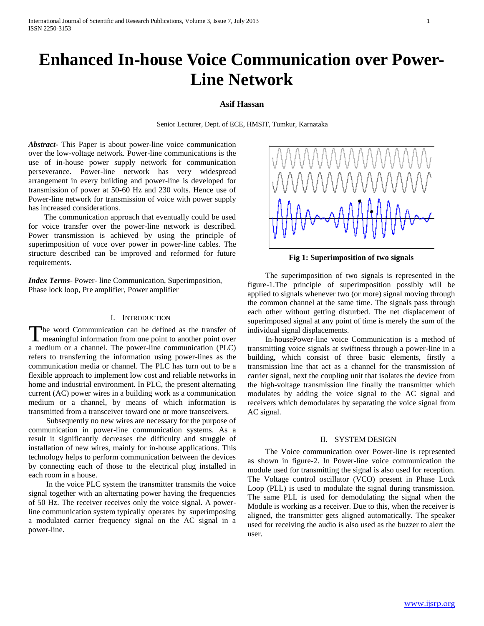# **Enhanced In-house Voice Communication over Power-Line Network**

# **Asif Hassan**

Senior Lecturer, Dept. of ECE, HMSIT, Tumkur, Karnataka

*Abstract***-** This Paper is about power-line voice communication over the low-voltage network. Power-line communications is the use of in-house power supply network for communication perseverance. Power-line network has very widespread arrangement in every building and power-line is developed for transmission of power at 50-60 Hz and 230 volts. Hence use of Power-line network for transmission of voice with power supply has increased considerations.

 The communication approach that eventually could be used for voice transfer over the power-line network is described. Power transmission is achieved by using the principle of superimposition of voce over power in power-line cables. The structure described can be improved and reformed for future requirements.

*Index Terms*- Power- line Communication, Superimposition, Phase lock loop, Pre amplifier, Power amplifier

# I. INTRODUCTION

he word Communication can be defined as the transfer of The word Communication can be defined as the transfer of<br>meaningful information from one point to another point over a medium or a channel. The power-line communication (PLC) refers to transferring the information using power-lines as the communication media or channel. The PLC has turn out to be a flexible approach to implement low cost and reliable networks in home and industrial environment. In PLC, the present alternating current (AC) power wires in a building work as a communication medium or a channel, by means of which information is transmitted from a transceiver toward one or more transceivers.

 Subsequently no new wires are necessary for the purpose of communication in power-line communication systems. As a result it significantly decreases the difficulty and struggle of installation of new wires, mainly for in-house applications. This technology helps to perform communication between the devices by connecting each of those to the electrical plug installed in each room in a house.

 In the voice PLC system the transmitter transmits the voice signal together with an alternating power having the frequencies of 50 Hz. The receiver receives only the voice signal. A powerline communication system typically operates by superimposing a modulated carrier frequency signal on the AC signal in a power-line.



**Fig 1: Superimposition of two signals**

 The superimposition of two signals is represented in the figure-1.The principle of superimposition possibly will be applied to signals whenever two (or more) signal moving through the common channel at the same time. The signals pass through each other without getting disturbed. The net displacement of superimposed signal at any point of time is merely the sum of the individual signal displacements.

 In-housePower-line voice Communication is a method of transmitting voice signals at swiftness through a power-line in a building, which consist of three basic elements, firstly a transmission line that act as a channel for the transmission of carrier signal, next the coupling unit that isolates the device from the high-voltage transmission line finally the transmitter which modulates by adding the voice signal to the AC signal and receivers which demodulates by separating the voice signal from AC signal.

#### II. SYSTEM DESIGN

 The Voice communication over Power-line is represented as shown in figure-2. In Power-line voice communication the module used for transmitting the signal is also used for reception. The Voltage control oscillator (VCO) present in Phase Lock Loop (PLL) is used to modulate the signal during transmission. The same PLL is used for demodulating the signal when the Module is working as a receiver. Due to this, when the receiver is aligned, the transmitter gets aligned automatically. The speaker used for receiving the audio is also used as the buzzer to alert the user.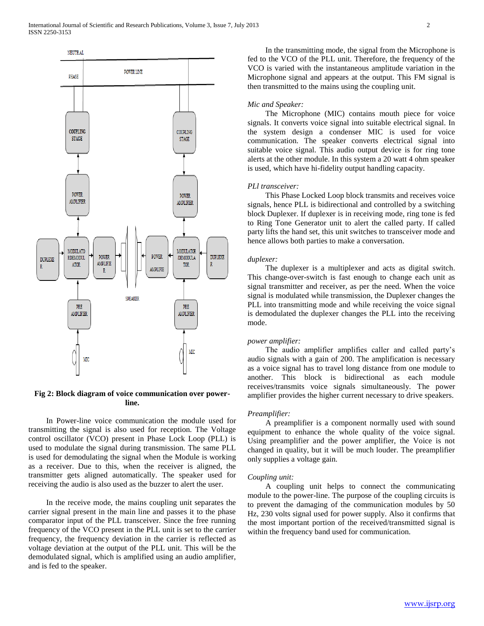

# **Fig 2: Block diagram of voice communication over powerline.**

 In Power-line voice communication the module used for transmitting the signal is also used for reception. The Voltage control oscillator (VCO) present in Phase Lock Loop (PLL) is used to modulate the signal during transmission. The same PLL is used for demodulating the signal when the Module is working as a receiver. Due to this, when the receiver is aligned, the transmitter gets aligned automatically. The speaker used for receiving the audio is also used as the buzzer to alert the user.

 In the receive mode, the mains coupling unit separates the carrier signal present in the main line and passes it to the phase comparator input of the PLL transceiver. Since the free running frequency of the VCO present in the PLL unit is set to the carrier frequency, the frequency deviation in the carrier is reflected as voltage deviation at the output of the PLL unit. This will be the demodulated signal, which is amplified using an audio amplifier, and is fed to the speaker.

 In the transmitting mode, the signal from the Microphone is fed to the VCO of the PLL unit. Therefore, the frequency of the VCO is varied with the instantaneous amplitude variation in the Microphone signal and appears at the output. This FM signal is then transmitted to the mains using the coupling unit.

# *Mic and Speaker:*

 The Microphone (MIC) contains mouth piece for voice signals. It converts voice signal into suitable electrical signal. In the system design a condenser MIC is used for voice communication. The speaker converts electrical signal into suitable voice signal. This audio output device is for ring tone alerts at the other module. In this system a 20 watt 4 ohm speaker is used, which have hi-fidelity output handling capacity.

# *PLl transceiver:*

 This Phase Locked Loop block transmits and receives voice signals, hence PLL is bidirectional and controlled by a switching block Duplexer. If duplexer is in receiving mode, ring tone is fed to Ring Tone Generator unit to alert the called party. If called party lifts the hand set, this unit switches to transceiver mode and hence allows both parties to make a conversation.

#### *duplexer:*

 The duplexer is a multiplexer and acts as digital switch. This change-over-switch is fast enough to change each unit as signal transmitter and receiver, as per the need. When the voice signal is modulated while transmission, the Duplexer changes the PLL into transmitting mode and while receiving the voice signal is demodulated the duplexer changes the PLL into the receiving mode.

#### *power amplifier:*

 The audio amplifier amplifies caller and called party's audio signals with a gain of 200. The amplification is necessary as a voice signal has to travel long distance from one module to another. This block is bidirectional as each module receives/transmits voice signals simultaneously. The power amplifier provides the higher current necessary to drive speakers.

# *Preamplifier:*

 A preamplifier is a component normally used with sound equipment to enhance the whole quality of the voice signal. Using preamplifier and the power amplifier, the Voice is not changed in quality, but it will be much louder. The preamplifier only supplies a voltage gain.

#### *Coupling unit:*

 A coupling unit helps to connect the communicating module to the power-line. The purpose of the coupling circuits is to prevent the damaging of the communication modules by 50 Hz, 230 volts signal used for power supply. Also it confirms that the most important portion of the received/transmitted signal is within the frequency band used for communication.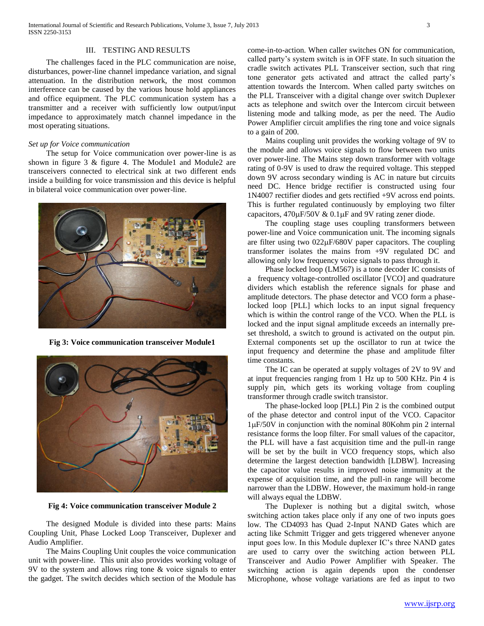### III. TESTING AND RESULTS

 The challenges faced in the PLC communication are noise, disturbances, power-line channel impedance variation, and signal attenuation. In the distribution network, the most common interference can be caused by the various house hold appliances and office equipment. The PLC communication system has a transmitter and a receiver with sufficiently low output/input impedance to approximately match channel impedance in the most operating situations.

# *Set up for Voice communication*

 The setup for Voice communication over power-line is as shown in figure 3 & figure 4. The Module1 and Module2 are transceivers connected to electrical sink at two different ends inside a building for voice transmission and this device is helpful in bilateral voice communication over power-line.



**Fig 3: Voice communication transceiver Module1**



**Fig 4: Voice communication transceiver Module 2**

 The designed Module is divided into these parts: Mains Coupling Unit, Phase Locked Loop Transceiver, Duplexer and Audio Amplifier.

 The Mains Coupling Unit couples the voice communication unit with power-line. This unit also provides working voltage of 9V to the system and allows ring tone & voice signals to enter the gadget. The switch decides which section of the Module has come-in-to-action. When caller switches ON for communication, called party's system switch is in OFF state. In such situation the cradle switch activates PLL Transceiver section, such that ring tone generator gets activated and attract the called party's attention towards the Intercom. When called party switches on the PLL Transceiver with a digital change over switch Duplexer acts as telephone and switch over the Intercom circuit between listening mode and talking mode, as per the need. The Audio Power Amplifier circuit amplifies the ring tone and voice signals to a gain of 200.

 Mains coupling unit provides the working voltage of 9V to the module and allows voice signals to flow between two units over power-line. The Mains step down transformer with voltage rating of 0-9V is used to draw the required voltage. This stepped down 9V across secondary winding is AC in nature but circuits need DC. Hence bridge rectifier is constructed using four 1N4007 rectifier diodes and gets rectified +9V across end points. This is further regulated continuously by employing two filter capacitors,  $470\mu$ F/50V &  $0.1\mu$ F and 9V rating zener diode.

 The coupling stage uses coupling transformers between power-line and Voice communication unit. The incoming signals are filter using two  $022\mu$ F/680V paper capacitors. The coupling transformer isolates the mains from +9V regulated DC and allowing only low frequency voice signals to pass through it.

 Phase locked loop (LM567) is a tone decoder IC consists of a frequency voltage-controlled oscillator [VCO] and quadrature dividers which establish the reference signals for phase and amplitude detectors. The phase detector and VCO form a phaselocked loop [PLL] which locks to an input signal frequency which is within the control range of the VCO. When the PLL is locked and the input signal amplitude exceeds an internally preset threshold, a switch to ground is activated on the output pin. External components set up the oscillator to run at twice the input frequency and determine the phase and amplitude filter time constants.

 The IC can be operated at supply voltages of 2V to 9V and at input frequencies ranging from 1 Hz up to 500 KHz. Pin 4 is supply pin, which gets its working voltage from coupling transformer through cradle switch transistor.

 The phase-locked loop [PLL] Pin 2 is the combined output of the phase detector and control input of the VCO. Capacitor  $1\mu$ F/50V in conjunction with the nominal 80Kohm pin 2 internal resistance forms the loop filter. For small values of the capacitor, the PLL will have a fast acquisition time and the pull-in range will be set by the built in VCO frequency stops, which also determine the largest detection bandwidth [LDBW]. Increasing the capacitor value results in improved noise immunity at the expense of acquisition time, and the pull-in range will become narrower than the LDBW. However, the maximum hold-in range will always equal the LDBW.

 The Duplexer is nothing but a digital switch, whose switching action takes place only if any one of two inputs goes low. The CD4093 has Quad 2-Input NAND Gates which are acting like Schmitt Trigger and gets triggered whenever anyone input goes low. In this Module duplexer IC's three NAND gates are used to carry over the switching action between PLL Transceiver and Audio Power Amplifier with Speaker. The switching action is again depends upon the condenser Microphone, whose voltage variations are fed as input to two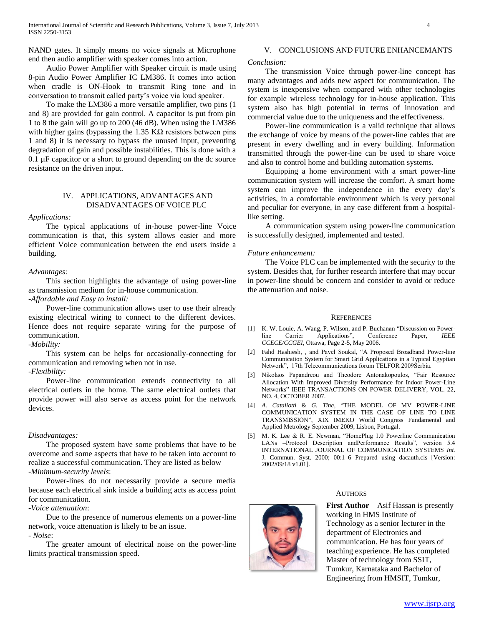NAND gates. It simply means no voice signals at Microphone end then audio amplifier with speaker comes into action.

 Audio Power Amplifier with Speaker circuit is made using 8-pin Audio Power Amplifier IC LM386. It comes into action when cradle is ON-Hook to transmit Ring tone and in conversation to transmit called party's voice via loud speaker.

 To make the LM386 a more versatile amplifier, two pins (1 and 8) are provided for gain control. A capacitor is put from pin 1 to 8 the gain will go up to 200 (46 dB). When using the LM386 with higher gains (bypassing the 1.35 K $\Omega$  resistors between pins 1 and 8) it is necessary to bypass the unused input, preventing degradation of gain and possible instabilities. This is done with a  $0.1 \mu$ F capacitor or a short to ground depending on the dc source resistance on the driven input.

# IV. APPLICATIONS, ADVANTAGES AND DISADVANTAGES OF VOICE PLC

#### *Applications:*

 The typical applications of in-house power-line Voice communication is that, this system allows easier and more efficient Voice communication between the end users inside a building.

#### *Advantages:*

 This section highlights the advantage of using power-line as transmission medium for in-house communication.

*-Affordable and Easy to install:*

 Power-line communication allows user to use their already existing electrical wiring to connect to the different devices. Hence does not require separate wiring for the purpose of communication.

*-Mobility:* 

 This system can be helps for occasionally-connecting for communication and removing when not in use.

*-Flexibility:* 

 Power-line communication extends connectivity to all electrical outlets in the home. The same electrical outlets that provide power will also serve as access point for the network devices.

#### *Disadvantages:*

 The proposed system have some problems that have to be overcome and some aspects that have to be taken into account to realize a successful communication. They are listed as below -*Minimum-security levels*:

 Power-lines do not necessarily provide a secure media because each electrical sink inside a building acts as access point for communication.

-*Voice attenuation*:

 Due to the presence of numerous elements on a power-line network, voice attenuation is likely to be an issue. - *Noise*:

 The greater amount of electrical noise on the power-line limits practical transmission speed.

# V. CONCLUSIONS AND FUTURE ENHANCEMANTS

# *Conclusion:*

 The transmission Voice through power-line concept has many advantages and adds new aspect for communication. The system is inexpensive when compared with other technologies for example wireless technology for in-house application. This system also has high potential in terms of innovation and commercial value due to the uniqueness and the effectiveness.

 Power-line communication is a valid technique that allows the exchange of voice by means of the power-line cables that are present in every dwelling and in every building. Information transmitted through the power-line can be used to share voice and also to control home and building automation systems.

 Equipping a home environment with a smart power-line communication system will increase the comfort. A smart home system can improve the independence in the every day's activities, in a comfortable environment which is very personal and peculiar for everyone, in any case different from a hospitallike setting.

 A communication system using power-line communication is successfully designed, implemented and tested.

# *Future enhancement:*

 The Voice PLC can be implemented with the security to the system. Besides that, for further research interfere that may occur in power-line should be concern and consider to avoid or reduce the attenuation and noise.

#### **REFERENCES**

- [1] K. W. Louie, A. Wang, P. Wilson, and P. Buchanan "Discussion on Powerline Carrier Applications", Conference Paper, *IEEE CCECE/CCGEI*, Ottawa, Page 2-5, May 2006.
- [2] Fahd Hashiesh, *,* and Pavel Soukal, "A Proposed Broadband Power-line Communication System for Smart Grid Applications in a Typical Egyptian Network", 17th Telecommunications forum TELFOR 2009Serbia.
- [3] Nikolaos Papandreou and Theodore Antonakopoulos, "Fair Resource Allocation With Improved Diversity Performance for Indoor Power-Line Networks" IEEE TRANSACTIONS ON POWER DELIVERY, VOL. 22, NO. 4, OCTOBER 2007.
- [4] *A. Cataliotti* & *G. Tine,* "THE MODEL OF MV POWER-LINE COMMUNICATION SYSTEM IN THE CASE OF LINE TO LINE TRANSMISSION", XIX IMEKO World Congress Fundamental and Applied Metrology September 2009, Lisbon, Portugal.
- M. K. Lee & R. E. Newman, "HomePlug 1.0 Powerline Communication LANs –Protocol Description andPerformance Results", version 5.4 INTERNATIONAL JOURNAL OF COMMUNICATION SYSTEMS *Int.*  J. Commun. Syst. 2000; 00:1–6 Prepared using dacauth.cls [Version: 2002/09/18 v1.01].

#### **AUTHORS**

**First Author** – Asif Hassan is presently working in HMS Institute of Technology as a senior lecturer in the department of Electronics and communication. He has four years of teaching experience. He has completed Master of technology from SSIT, Tumkur, Karnataka and Bachelor of Engineering from HMSIT, Tumkur,